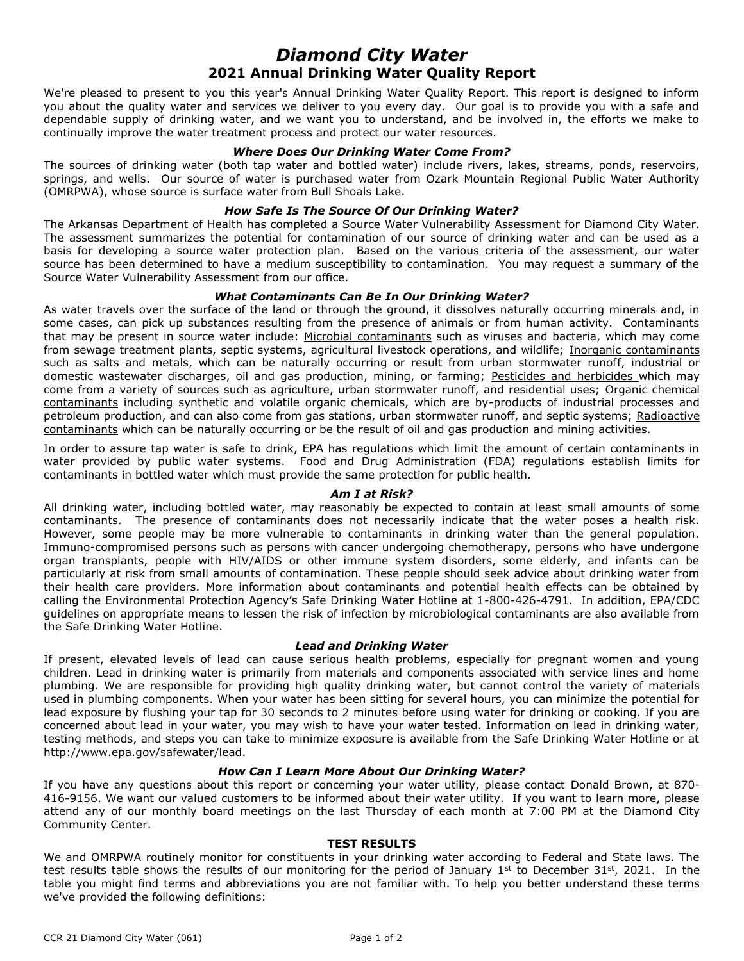# *Diamond City Water* **2021 Annual Drinking Water Quality Report**

We're pleased to present to you this year's Annual Drinking Water Quality Report. This report is designed to inform you about the quality water and services we deliver to you every day. Our goal is to provide you with a safe and dependable supply of drinking water, and we want you to understand, and be involved in, the efforts we make to continually improve the water treatment process and protect our water resources.

#### *Where Does Our Drinking Water Come From?*

The sources of drinking water (both tap water and bottled water) include rivers, lakes, streams, ponds, reservoirs, springs, and wells. Our source of water is purchased water from Ozark Mountain Regional Public Water Authority (OMRPWA), whose source is surface water from Bull Shoals Lake.

## *How Safe Is The Source Of Our Drinking Water?*

The Arkansas Department of Health has completed a Source Water Vulnerability Assessment for Diamond City Water. The assessment summarizes the potential for contamination of our source of drinking water and can be used as a basis for developing a source water protection plan. Based on the various criteria of the assessment, our water source has been determined to have a medium susceptibility to contamination. You may request a summary of the Source Water Vulnerability Assessment from our office.

### *What Contaminants Can Be In Our Drinking Water?*

As water travels over the surface of the land or through the ground, it dissolves naturally occurring minerals and, in some cases, can pick up substances resulting from the presence of animals or from human activity. Contaminants that may be present in source water include: Microbial contaminants such as viruses and bacteria, which may come from sewage treatment plants, septic systems, agricultural livestock operations, and wildlife; Inorganic contaminants such as salts and metals, which can be naturally occurring or result from urban stormwater runoff, industrial or domestic wastewater discharges, oil and gas production, mining, or farming; Pesticides and herbicides which may come from a variety of sources such as agriculture, urban stormwater runoff, and residential uses; Organic chemical contaminants including synthetic and volatile organic chemicals, which are by-products of industrial processes and petroleum production, and can also come from gas stations, urban stormwater runoff, and septic systems; Radioactive contaminants which can be naturally occurring or be the result of oil and gas production and mining activities.

In order to assure tap water is safe to drink, EPA has regulations which limit the amount of certain contaminants in water provided by public water systems. Food and Drug Administration (FDA) regulations establish limits for contaminants in bottled water which must provide the same protection for public health.

## *Am I at Risk?*

All drinking water, including bottled water, may reasonably be expected to contain at least small amounts of some contaminants. The presence of contaminants does not necessarily indicate that the water poses a health risk. However, some people may be more vulnerable to contaminants in drinking water than the general population. Immuno-compromised persons such as persons with cancer undergoing chemotherapy, persons who have undergone organ transplants, people with HIV/AIDS or other immune system disorders, some elderly, and infants can be particularly at risk from small amounts of contamination. These people should seek advice about drinking water from their health care providers. More information about contaminants and potential health effects can be obtained by calling the Environmental Protection Agency's Safe Drinking Water Hotline at 1-800-426-4791. In addition, EPA/CDC guidelines on appropriate means to lessen the risk of infection by microbiological contaminants are also available from the Safe Drinking Water Hotline.

#### *Lead and Drinking Water*

If present, elevated levels of lead can cause serious health problems, especially for pregnant women and young children. Lead in drinking water is primarily from materials and components associated with service lines and home plumbing. We are responsible for providing high quality drinking water, but cannot control the variety of materials used in plumbing components. When your water has been sitting for several hours, you can minimize the potential for lead exposure by flushing your tap for 30 seconds to 2 minutes before using water for drinking or cooking. If you are concerned about lead in your water, you may wish to have your water tested. Information on lead in drinking water, testing methods, and steps you can take to minimize exposure is available from the Safe Drinking Water Hotline or at http://www.epa.gov/safewater/lead.

# *How Can I Learn More About Our Drinking Water?*

If you have any questions about this report or concerning your water utility, please contact Donald Brown, at 870- 416-9156. We want our valued customers to be informed about their water utility. If you want to learn more, please attend any of our monthly board meetings on the last Thursday of each month at 7:00 PM at the Diamond City Community Center.

#### **TEST RESULTS**

We and OMRPWA routinely monitor for constituents in your drinking water according to Federal and State laws. The test results table shows the results of our monitoring for the period of January 1st to December 31st, 2021. In the table you might find terms and abbreviations you are not familiar with. To help you better understand these terms we've provided the following definitions: